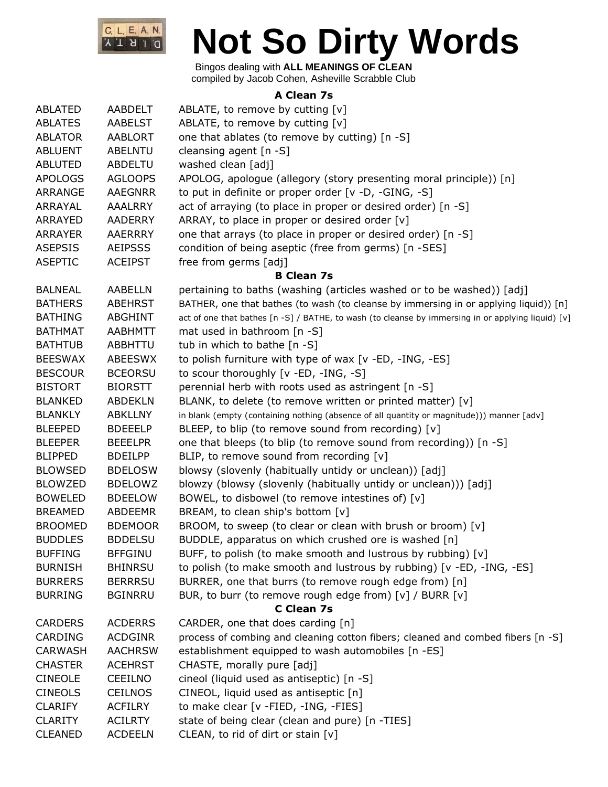

Bingos dealing with **ALL MEANINGS OF CLEAN** compiled by Jacob Cohen, Asheville Scrabble Club

#### **A Clean 7s**

| ABLATED        | AABDELT        | ABLATE, to remove by cutting $[v]$                                                                 |
|----------------|----------------|----------------------------------------------------------------------------------------------------|
| <b>ABLATES</b> | <b>AABELST</b> | ABLATE, to remove by cutting [v]                                                                   |
| <b>ABLATOR</b> | <b>AABLORT</b> | one that ablates (to remove by cutting) [n -S]                                                     |
| <b>ABLUENT</b> | <b>ABELNTU</b> | cleansing agent [n -S]                                                                             |
| <b>ABLUTED</b> | ABDELTU        | washed clean [adj]                                                                                 |
| <b>APOLOGS</b> | <b>AGLOOPS</b> | APOLOG, apologue (allegory (story presenting moral principle)) [n]                                 |
| ARRANGE        | <b>AAEGNRR</b> | to put in definite or proper order [v -D, -GING, -S]                                               |
| ARRAYAL        | <b>AAALRRY</b> | act of arraying (to place in proper or desired order) [n -S]                                       |
| ARRAYED        | <b>AADERRY</b> | ARRAY, to place in proper or desired order [v]                                                     |
| <b>ARRAYER</b> | AAERRRY        | one that arrays (to place in proper or desired order) [n -S]                                       |
| <b>ASEPSIS</b> | <b>AEIPSSS</b> | condition of being aseptic (free from germs) [n -SES]                                              |
| <b>ASEPTIC</b> | <b>ACEIPST</b> | free from germs [adj]                                                                              |
|                |                | <b>B Clean 7s</b>                                                                                  |
| <b>BALNEAL</b> | <b>AABELLN</b> | pertaining to baths (washing (articles washed or to be washed)) [adj]                              |
| <b>BATHERS</b> | ABEHRST        | BATHER, one that bathes (to wash (to cleanse by immersing in or applying liquid)) [n]              |
| <b>BATHING</b> | ABGHINT        | act of one that bathes [n -S] / BATHE, to wash (to cleanse by immersing in or applying liquid) [v] |
| <b>BATHMAT</b> | <b>AABHMTT</b> | mat used in bathroom $[n - S]$                                                                     |
| <b>BATHTUB</b> | ABBHTTU        | tub in which to bathe [n -S]                                                                       |
| <b>BEESWAX</b> | <b>ABEESWX</b> | to polish furniture with type of wax [v -ED, -ING, -ES]                                            |
| <b>BESCOUR</b> | <b>BCEORSU</b> | to scour thoroughly [v -ED, -ING, -S]                                                              |
| <b>BISTORT</b> | <b>BIORSTT</b> | perennial herb with roots used as astringent [n -S]                                                |
| <b>BLANKED</b> | <b>ABDEKLN</b> | BLANK, to delete (to remove written or printed matter) [v]                                         |
| <b>BLANKLY</b> | <b>ABKLLNY</b> | in blank (empty (containing nothing (absence of all quantity or magnitude))) manner [adv]          |
| <b>BLEEPED</b> | <b>BDEEELP</b> | BLEEP, to blip (to remove sound from recording) $[v]$                                              |
| <b>BLEEPER</b> | <b>BEEELPR</b> | one that bleeps (to blip (to remove sound from recording)) [n -S]                                  |
| <b>BLIPPED</b> | <b>BDEILPP</b> | BLIP, to remove sound from recording [v]                                                           |
| <b>BLOWSED</b> | <b>BDELOSW</b> | blowsy (slovenly (habitually untidy or unclean)) [adj]                                             |
| <b>BLOWZED</b> | <b>BDELOWZ</b> | blowzy (blowsy (slovenly (habitually untidy or unclean))) [adj]                                    |
| <b>BOWELED</b> | <b>BDEELOW</b> | BOWEL, to disbowel (to remove intestines of) [v]                                                   |
| <b>BREAMED</b> | <b>ABDEEMR</b> | BREAM, to clean ship's bottom [v]                                                                  |
| <b>BROOMED</b> | <b>BDEMOOR</b> | BROOM, to sweep (to clear or clean with brush or broom) [v]                                        |
| <b>BUDDLES</b> | <b>BDDELSU</b> | BUDDLE, apparatus on which crushed ore is washed [n]                                               |
| <b>BUFFING</b> | <b>BFFGINU</b> | BUFF, to polish (to make smooth and lustrous by rubbing) [v]                                       |
| <b>BURNISH</b> | <b>BHINRSU</b> | to polish (to make smooth and lustrous by rubbing) [v -ED, -ING, -ES]                              |
| <b>BURRERS</b> | <b>BERRRSU</b> | BURRER, one that burrs (to remove rough edge from) [n]                                             |
| <b>BURRING</b> | <b>BGINRRU</b> | BUR, to burr (to remove rough edge from) [v] / BURR [v]                                            |
|                |                | C Clean 7s                                                                                         |
| <b>CARDERS</b> | <b>ACDERRS</b> | CARDER, one that does carding [n]                                                                  |
| <b>CARDING</b> | <b>ACDGINR</b> | process of combing and cleaning cotton fibers; cleaned and combed fibers [n -S]                    |
| <b>CARWASH</b> | <b>AACHRSW</b> | establishment equipped to wash automobiles [n -ES]                                                 |
| <b>CHASTER</b> | <b>ACEHRST</b> | CHASTE, morally pure [adj]                                                                         |
| <b>CINEOLE</b> | <b>CEEILNO</b> | cineol (liquid used as antiseptic) [n -S]                                                          |
| <b>CINEOLS</b> | <b>CEILNOS</b> | CINEOL, liquid used as antiseptic [n]                                                              |
| <b>CLARIFY</b> | <b>ACFILRY</b> | to make clear [v -FIED, -ING, -FIES]                                                               |
| <b>CLARITY</b> | <b>ACILRTY</b> | state of being clear (clean and pure) [n -TIES]                                                    |
| <b>CLEANED</b> | <b>ACDEELN</b> | CLEAN, to rid of dirt or stain [v]                                                                 |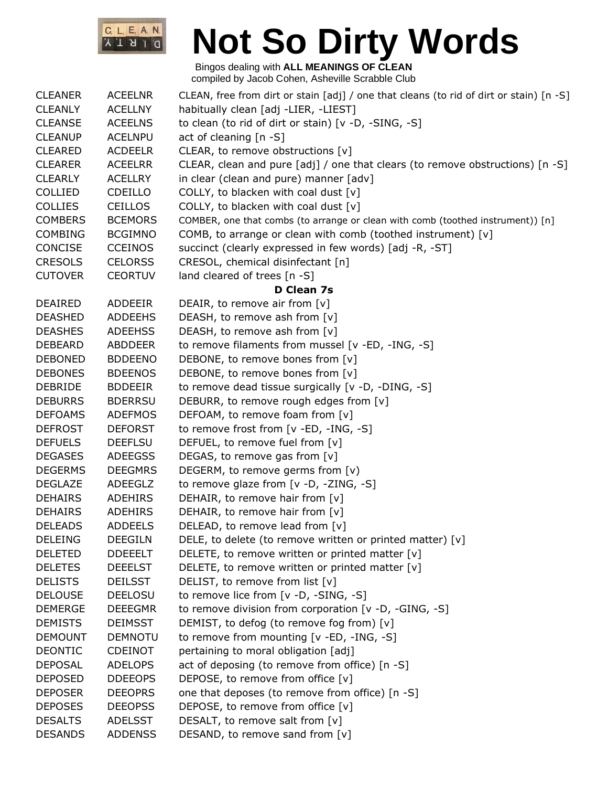

| <b>CLEANER</b> | <b>ACEELNR</b> | CLEAN, free from dirt or stain [adj] / one that cleans (to rid of dirt or stain) [n -S] |
|----------------|----------------|-----------------------------------------------------------------------------------------|
| <b>CLEANLY</b> | <b>ACELLNY</b> | habitually clean [adj -LIER, -LIEST]                                                    |
| <b>CLEANSE</b> | <b>ACEELNS</b> | to clean (to rid of dirt or stain) [v -D, -SING, -S]                                    |
| <b>CLEANUP</b> | <b>ACELNPU</b> | act of cleaning [n -S]                                                                  |
| <b>CLEARED</b> | <b>ACDEELR</b> | CLEAR, to remove obstructions [v]                                                       |
| <b>CLEARER</b> | <b>ACEELRR</b> | CLEAR, clean and pure $[adj] /$ one that clears (to remove obstructions) $[n -S]$       |
| <b>CLEARLY</b> | ACELLRY        | in clear (clean and pure) manner [adv]                                                  |
| <b>COLLIED</b> | <b>CDEILLO</b> | COLLY, to blacken with coal dust $[v]$                                                  |
| <b>COLLIES</b> | <b>CEILLOS</b> | COLLY, to blacken with coal dust $[v]$                                                  |
| <b>COMBERS</b> | <b>BCEMORS</b> | COMBER, one that combs (to arrange or clean with comb (toothed instrument)) [n]         |
| <b>COMBING</b> | <b>BCGIMNO</b> | COMB, to arrange or clean with comb (toothed instrument) [v]                            |
| CONCISE        | <b>CCEINOS</b> | succinct (clearly expressed in few words) [adj -R, -ST]                                 |
| <b>CRESOLS</b> | <b>CELORSS</b> | CRESOL, chemical disinfectant [n]                                                       |
| <b>CUTOVER</b> | <b>CEORTUV</b> | land cleared of trees [n -S]                                                            |
|                |                | D Clean 7s                                                                              |
| <b>DEAIRED</b> | ADDEEIR        | DEAIR, to remove air from [v]                                                           |
| <b>DEASHED</b> | <b>ADDEEHS</b> | DEASH, to remove ash from [v]                                                           |
| <b>DEASHES</b> | <b>ADEEHSS</b> | DEASH, to remove ash from [v]                                                           |
| <b>DEBEARD</b> | ABDDEER        | to remove filaments from mussel [v -ED, -ING, -S]                                       |
| <b>DEBONED</b> | <b>BDDEENO</b> | DEBONE, to remove bones from [v]                                                        |
| <b>DEBONES</b> | <b>BDEENOS</b> | DEBONE, to remove bones from [v]                                                        |
| <b>DEBRIDE</b> | <b>BDDEEIR</b> | to remove dead tissue surgically [v -D, -DING, -S]                                      |
| <b>DEBURRS</b> | <b>BDERRSU</b> | DEBURR, to remove rough edges from [v]                                                  |
| <b>DEFOAMS</b> | <b>ADEFMOS</b> | DEFOAM, to remove foam from [v]                                                         |
| <b>DEFROST</b> | <b>DEFORST</b> | to remove frost from [v -ED, -ING, -S]                                                  |
| <b>DEFUELS</b> | <b>DEEFLSU</b> | DEFUEL, to remove fuel from [v]                                                         |
| <b>DEGASES</b> | <b>ADEEGSS</b> | DEGAS, to remove gas from [v]                                                           |
| <b>DEGERMS</b> | <b>DEEGMRS</b> | DEGERM, to remove germs from [v)                                                        |
| <b>DEGLAZE</b> | ADEEGLZ        | to remove glaze from [v -D, -ZING, -S]                                                  |
| <b>DEHAIRS</b> | <b>ADEHIRS</b> | DEHAIR, to remove hair from [v]                                                         |
| <b>DEHAIRS</b> | <b>ADEHIRS</b> | DEHAIR, to remove hair from [v]                                                         |
| <b>DELEADS</b> | <b>ADDEELS</b> | DELEAD, to remove lead from [v]                                                         |
| <b>DELEING</b> | <b>DEEGILN</b> | DELE, to delete (to remove written or printed matter) [v]                               |
| <b>DELETED</b> | <b>DDEEELT</b> | DELETE, to remove written or printed matter [v]                                         |
| <b>DELETES</b> | <b>DEEELST</b> | DELETE, to remove written or printed matter [v]                                         |
| <b>DELISTS</b> | <b>DEILSST</b> | DELIST, to remove from list [v]                                                         |
| <b>DELOUSE</b> | <b>DEELOSU</b> | to remove lice from [v -D, -SING, -S]                                                   |
| <b>DEMERGE</b> | <b>DEEEGMR</b> | to remove division from corporation [v -D, -GING, -S]                                   |
| <b>DEMISTS</b> | <b>DEIMSST</b> | DEMIST, to defog (to remove fog from) [v]                                               |
| <b>DEMOUNT</b> | <b>DEMNOTU</b> | to remove from mounting [v -ED, -ING, -S]                                               |
| <b>DEONTIC</b> | <b>CDEINOT</b> | pertaining to moral obligation [adj]                                                    |
| <b>DEPOSAL</b> | <b>ADELOPS</b> | act of deposing (to remove from office) [n -S]                                          |
| <b>DEPOSED</b> | <b>DDEEOPS</b> | DEPOSE, to remove from office [v]                                                       |
| <b>DEPOSER</b> | <b>DEEOPRS</b> | one that deposes (to remove from office) [n -S]                                         |
| <b>DEPOSES</b> | <b>DEEOPSS</b> | DEPOSE, to remove from office [v]                                                       |
| <b>DESALTS</b> | <b>ADELSST</b> | DESALT, to remove salt from [v]                                                         |
| <b>DESANDS</b> | <b>ADDENSS</b> | DESAND, to remove sand from [v]                                                         |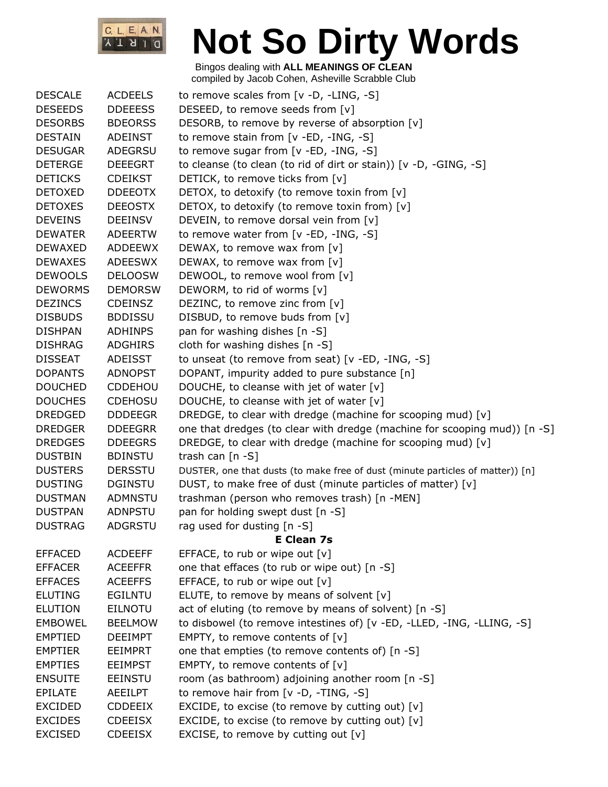

| <b>DESCALE</b> | <b>ACDEELS</b> | to remove scales from $[v -D, -LING, -S]$                                      |
|----------------|----------------|--------------------------------------------------------------------------------|
| <b>DESEEDS</b> | <b>DDEEESS</b> | DESEED, to remove seeds from [v]                                               |
| <b>DESORBS</b> | <b>BDEORSS</b> | DESORB, to remove by reverse of absorption [v]                                 |
| <b>DESTAIN</b> | <b>ADEINST</b> | to remove stain from [v -ED, -ING, -S]                                         |
| <b>DESUGAR</b> | ADEGRSU        | to remove sugar from [v -ED, -ING, -S]                                         |
| <b>DETERGE</b> | <b>DEEEGRT</b> | to cleanse (to clean (to rid of dirt or stain)) [v -D, -GING, -S]              |
| <b>DETICKS</b> | <b>CDEIKST</b> | DETICK, to remove ticks from [v]                                               |
| <b>DETOXED</b> | <b>DDEEOTX</b> | DETOX, to detoxify (to remove toxin from [v]                                   |
| <b>DETOXES</b> | <b>DEEOSTX</b> | DETOX, to detoxify (to remove toxin from) [v]                                  |
| <b>DEVEINS</b> | <b>DEEINSV</b> | DEVEIN, to remove dorsal vein from [v]                                         |
| <b>DEWATER</b> | <b>ADEERTW</b> | to remove water from [v -ED, -ING, -S]                                         |
| <b>DEWAXED</b> | <b>ADDEEWX</b> | DEWAX, to remove wax from [v]                                                  |
| <b>DEWAXES</b> | <b>ADEESWX</b> | DEWAX, to remove wax from [v]                                                  |
| <b>DEWOOLS</b> | <b>DELOOSW</b> | DEWOOL, to remove wool from [v]                                                |
| <b>DEWORMS</b> | <b>DEMORSW</b> | DEWORM, to rid of worms [v]                                                    |
| <b>DEZINCS</b> | <b>CDEINSZ</b> | DEZINC, to remove zinc from [v]                                                |
| <b>DISBUDS</b> | <b>BDDISSU</b> | DISBUD, to remove buds from [v]                                                |
| <b>DISHPAN</b> | <b>ADHINPS</b> | pan for washing dishes [n -S]                                                  |
| <b>DISHRAG</b> | <b>ADGHIRS</b> | cloth for washing dishes $[n - S]$                                             |
| <b>DISSEAT</b> | <b>ADEISST</b> | to unseat (to remove from seat) [v -ED, -ING, -S]                              |
| <b>DOPANTS</b> | <b>ADNOPST</b> | DOPANT, impurity added to pure substance [n]                                   |
| <b>DOUCHED</b> | <b>CDDEHOU</b> | DOUCHE, to cleanse with jet of water [v]                                       |
| <b>DOUCHES</b> | <b>CDEHOSU</b> | DOUCHE, to cleanse with jet of water [v]                                       |
| <b>DREDGED</b> | <b>DDDEEGR</b> | DREDGE, to clear with dredge (machine for scooping mud) [v]                    |
| <b>DREDGER</b> | <b>DDEEGRR</b> | one that dredges (to clear with dredge (machine for scooping mud)) [n -S]      |
| <b>DREDGES</b> | <b>DDEEGRS</b> | DREDGE, to clear with dredge (machine for scooping mud) [v]                    |
| <b>DUSTBIN</b> | <b>BDINSTU</b> | trash can $[n -S]$                                                             |
| <b>DUSTERS</b> | <b>DERSSTU</b> | DUSTER, one that dusts (to make free of dust (minute particles of matter)) [n] |
| <b>DUSTING</b> | <b>DGINSTU</b> | DUST, to make free of dust (minute particles of matter) [v]                    |
| <b>DUSTMAN</b> | ADMNSTU        | trashman (person who removes trash) [n -MEN]                                   |
| <b>DUSTPAN</b> | <b>ADNPSTU</b> | pan for holding swept dust [n -S]                                              |
| <b>DUSTRAG</b> | <b>ADGRSTU</b> | rag used for dusting [n -S]                                                    |
|                |                | <b>E Clean 7s</b>                                                              |
| <b>EFFACED</b> | <b>ACDEEFF</b> | EFFACE, to rub or wipe out [v]                                                 |
| <b>EFFACER</b> | <b>ACEEFFR</b> | one that effaces (to rub or wipe out) [n -S]                                   |
| <b>EFFACES</b> | <b>ACEEFFS</b> | EFFACE, to rub or wipe out [v]                                                 |
| <b>ELUTING</b> | <b>EGILNTU</b> | ELUTE, to remove by means of solvent [v]                                       |
| <b>ELUTION</b> | <b>EILNOTU</b> | act of eluting (to remove by means of solvent) [n -S]                          |
| <b>EMBOWEL</b> | <b>BEELMOW</b> | to disbowel (to remove intestines of) [v -ED, -LLED, -ING, -LLING, -S]         |
| <b>EMPTIED</b> | <b>DEEIMPT</b> | EMPTY, to remove contents of [v]                                               |
| <b>EMPTIER</b> | <b>EEIMPRT</b> | one that empties (to remove contents of) [n -S]                                |
| <b>EMPTIES</b> | <b>EEIMPST</b> | EMPTY, to remove contents of $[v]$                                             |
| <b>ENSUITE</b> | <b>EEINSTU</b> | room (as bathroom) adjoining another room [n -S]                               |
| <b>EPILATE</b> | <b>AEEILPT</b> | to remove hair from $[v -D, -TING, -S]$                                        |
| <b>EXCIDED</b> | <b>CDDEEIX</b> | EXCIDE, to excise (to remove by cutting out) $[v]$                             |
| <b>EXCIDES</b> | <b>CDEEISX</b> | EXCIDE, to excise (to remove by cutting out) $[v]$                             |
| <b>EXCISED</b> | <b>CDEEISX</b> | EXCISE, to remove by cutting out [v]                                           |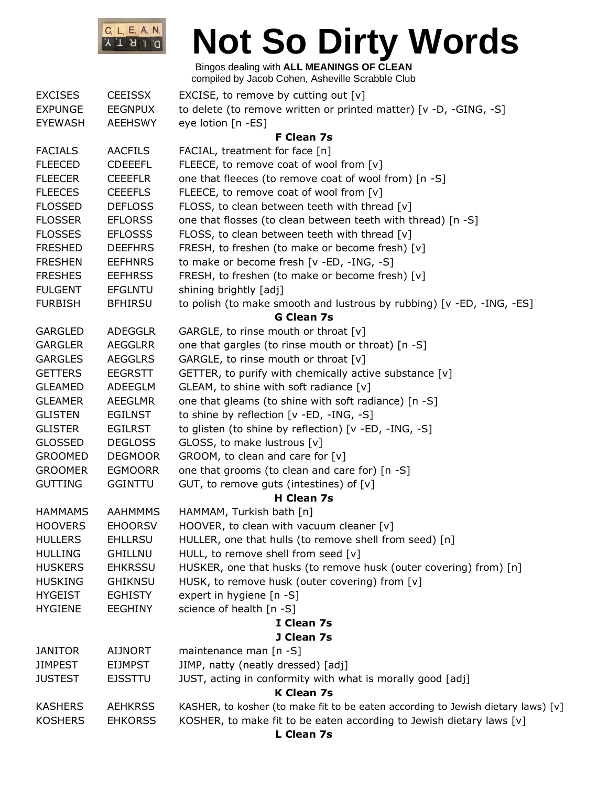

| <b>EXCISES</b> | <b>CEEISSX</b> | EXCISE, to remove by cutting out $[v]$                                           |
|----------------|----------------|----------------------------------------------------------------------------------|
| <b>EXPUNGE</b> | <b>EEGNPUX</b> | to delete (to remove written or printed matter) [v -D, -GING, -S]                |
| <b>EYEWASH</b> | <b>AEEHSWY</b> | eye lotion [n -ES]                                                               |
|                |                | F Clean 7s                                                                       |
| <b>FACIALS</b> | <b>AACFILS</b> | FACIAL, treatment for face [n]                                                   |
| <b>FLEECED</b> | <b>CDEEEFL</b> | FLEECE, to remove coat of wool from $[v]$                                        |
| <b>FLEECER</b> | <b>CEEEFLR</b> | one that fleeces (to remove coat of wool from) [n -S]                            |
| <b>FLEECES</b> | <b>CEEEFLS</b> | FLEECE, to remove coat of wool from [v]                                          |
| <b>FLOSSED</b> | <b>DEFLOSS</b> | FLOSS, to clean between teeth with thread [v]                                    |
| <b>FLOSSER</b> | <b>EFLORSS</b> | one that flosses (to clean between teeth with thread) [n -S]                     |
| <b>FLOSSES</b> | <b>EFLOSSS</b> | FLOSS, to clean between teeth with thread [v]                                    |
| <b>FRESHED</b> | <b>DEEFHRS</b> | FRESH, to freshen (to make or become fresh) [v]                                  |
| <b>FRESHEN</b> | <b>EEFHNRS</b> | to make or become fresh [v -ED, -ING, -S]                                        |
| <b>FRESHES</b> | <b>EEFHRSS</b> | FRESH, to freshen (to make or become fresh) [v]                                  |
| <b>FULGENT</b> | <b>EFGLNTU</b> | shining brightly [adj]                                                           |
| <b>FURBISH</b> | <b>BFHIRSU</b> | to polish (to make smooth and lustrous by rubbing) [v -ED, -ING, -ES]            |
|                |                | <b>G Clean 7s</b>                                                                |
| <b>GARGLED</b> | <b>ADEGGLR</b> | GARGLE, to rinse mouth or throat [v]                                             |
| <b>GARGLER</b> | <b>AEGGLRR</b> | one that gargles (to rinse mouth or throat) [n -S]                               |
| <b>GARGLES</b> | <b>AEGGLRS</b> | GARGLE, to rinse mouth or throat [v]                                             |
| <b>GETTERS</b> | <b>EEGRSTT</b> | GETTER, to purify with chemically active substance [v]                           |
| <b>GLEAMED</b> | ADEEGLM        | GLEAM, to shine with soft radiance [v]                                           |
| <b>GLEAMER</b> | <b>AEEGLMR</b> | one that gleams (to shine with soft radiance) [n -S]                             |
| <b>GLISTEN</b> | <b>EGILNST</b> | to shine by reflection [v -ED, -ING, -S]                                         |
| <b>GLISTER</b> | <b>EGILRST</b> | to glisten (to shine by reflection) [v -ED, -ING, -S]                            |
| <b>GLOSSED</b> | <b>DEGLOSS</b> | GLOSS, to make lustrous [v]                                                      |
| <b>GROOMED</b> | <b>DEGMOOR</b> | GROOM, to clean and care for $[v]$                                               |
| <b>GROOMER</b> | <b>EGMOORR</b> | one that grooms (to clean and care for) [n -S]                                   |
| <b>GUTTING</b> | <b>GGINTTU</b> | GUT, to remove guts (intestines) of [v]                                          |
|                |                | <b>H</b> Clean 7s                                                                |
| <b>HAMMAMS</b> | <b>AAHMMMS</b> | HAMMAM, Turkish bath [n]                                                         |
| <b>HOOVERS</b> | <b>EHOORSV</b> | HOOVER, to clean with vacuum cleaner [v]                                         |
| <b>HULLERS</b> | <b>EHLLRSU</b> | HULLER, one that hulls (to remove shell from seed) [n]                           |
| <b>HULLING</b> | <b>GHILLNU</b> | HULL, to remove shell from seed [v]                                              |
| <b>HUSKERS</b> | <b>EHKRSSU</b> | HUSKER, one that husks (to remove husk (outer covering) from) [n]                |
| <b>HUSKING</b> | <b>GHIKNSU</b> | HUSK, to remove husk (outer covering) from [v]                                   |
| <b>HYGEIST</b> | <b>EGHISTY</b> | expert in hygiene [n -S]                                                         |
| <b>HYGIENE</b> | <b>EEGHINY</b> | science of health [n -S]                                                         |
|                |                | I Clean 7s                                                                       |
|                |                | J Clean 7s                                                                       |
| <b>JANITOR</b> | <b>AIJNORT</b> | maintenance man [n -S]                                                           |
| <b>JIMPEST</b> | <b>EIJMPST</b> | JIMP, natty (neatly dressed) [adj]                                               |
| <b>JUSTEST</b> | <b>EJSSTTU</b> | JUST, acting in conformity with what is morally good [adj]                       |
|                |                | <b>K Clean 7s</b>                                                                |
| <b>KASHERS</b> | <b>AEHKRSS</b> | KASHER, to kosher (to make fit to be eaten according to Jewish dietary laws) [v] |
| <b>KOSHERS</b> | <b>EHKORSS</b> | KOSHER, to make fit to be eaten according to Jewish dietary laws [v]             |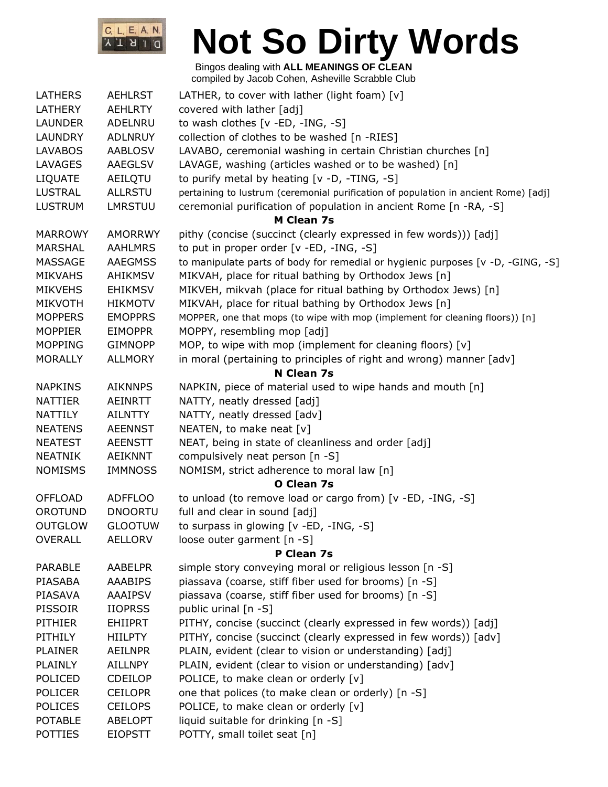

| <b>LATHERS</b> | <b>AEHLRST</b> | LATHER, to cover with lather (light foam) $[v]$                                     |
|----------------|----------------|-------------------------------------------------------------------------------------|
| LATHERY        | <b>AEHLRTY</b> | covered with lather [adj]                                                           |
| <b>LAUNDER</b> | ADELNRU        | to wash clothes [v -ED, -ING, -S]                                                   |
| <b>LAUNDRY</b> | <b>ADLNRUY</b> | collection of clothes to be washed [n -RIES]                                        |
| <b>LAVABOS</b> | <b>AABLOSV</b> | LAVABO, ceremonial washing in certain Christian churches [n]                        |
| LAVAGES        | AAEGLSV        | LAVAGE, washing (articles washed or to be washed) [n]                               |
| <b>LIQUATE</b> | AEILQTU        | to purify metal by heating [v -D, -TING, -S]                                        |
| LUSTRAL        | <b>ALLRSTU</b> | pertaining to lustrum (ceremonial purification of population in ancient Rome) [adj] |
| <b>LUSTRUM</b> | <b>LMRSTUU</b> | ceremonial purification of population in ancient Rome [n -RA, -S]                   |
|                |                | <b>M Clean 7s</b>                                                                   |
| <b>MARROWY</b> | AMORRWY        | pithy (concise (succinct (clearly expressed in few words))) [adj]                   |
| <b>MARSHAL</b> | <b>AAHLMRS</b> | to put in proper order [v -ED, -ING, -S]                                            |
| <b>MASSAGE</b> | <b>AAEGMSS</b> | to manipulate parts of body for remedial or hygienic purposes [v -D, -GING, -S]     |
| <b>MIKVAHS</b> | AHIKMSV        | MIKVAH, place for ritual bathing by Orthodox Jews [n]                               |
| <b>MIKVEHS</b> | <b>EHIKMSV</b> | MIKVEH, mikvah (place for ritual bathing by Orthodox Jews) [n]                      |
| <b>MIKVOTH</b> | <b>HIKMOTV</b> | MIKVAH, place for ritual bathing by Orthodox Jews [n]                               |
| <b>MOPPERS</b> | <b>EMOPPRS</b> | MOPPER, one that mops (to wipe with mop (implement for cleaning floors)) [n]        |
| <b>MOPPIER</b> | <b>EIMOPPR</b> | MOPPY, resembling mop [adj]                                                         |
| <b>MOPPING</b> | <b>GIMNOPP</b> | MOP, to wipe with mop (implement for cleaning floors) [v]                           |
| <b>MORALLY</b> | <b>ALLMORY</b> | in moral (pertaining to principles of right and wrong) manner [adv]                 |
|                |                | N Clean 7s                                                                          |
| <b>NAPKINS</b> | <b>AIKNNPS</b> | NAPKIN, piece of material used to wipe hands and mouth [n]                          |
| <b>NATTIER</b> | <b>AEINRTT</b> | NATTY, neatly dressed [adj]                                                         |
| <b>NATTILY</b> | <b>AILNTTY</b> | NATTY, neatly dressed [adv]                                                         |
| <b>NEATENS</b> | <b>AEENNST</b> | NEATEN, to make neat [v]                                                            |
| <b>NEATEST</b> | <b>AEENSTT</b> | NEAT, being in state of cleanliness and order [adj]                                 |
| <b>NEATNIK</b> | <b>AEIKNNT</b> | compulsively neat person [n -S]                                                     |
| <b>NOMISMS</b> | <b>IMMNOSS</b> | NOMISM, strict adherence to moral law [n]                                           |
|                |                | O Clean 7s                                                                          |
| <b>OFFLOAD</b> | <b>ADFFLOO</b> | to unload (to remove load or cargo from) [v -ED, -ING, -S]                          |
| <b>OROTUND</b> | <b>DNOORTU</b> | full and clear in sound [adj]                                                       |
| <b>OUTGLOW</b> | <b>GLOOTUW</b> | to surpass in glowing [v -ED, -ING, -S]                                             |
| <b>OVERALL</b> | <b>AELLORV</b> | loose outer garment [n -S]                                                          |
|                |                | P Clean 7s                                                                          |
| <b>PARABLE</b> | <b>AABELPR</b> | simple story conveying moral or religious lesson [n -S]                             |
| PIASABA        | <b>AAABIPS</b> | piassava (coarse, stiff fiber used for brooms) [n -S]                               |
| PIASAVA        | <b>AAAIPSV</b> | piassava (coarse, stiff fiber used for brooms) [n -S]                               |
| PISSOIR        | <b>IIOPRSS</b> | public urinal [n -S]                                                                |
| <b>PITHIER</b> | <b>EHIIPRT</b> | PITHY, concise (succinct (clearly expressed in few words)) [adj]                    |
| PITHILY        | <b>HIILPTY</b> | PITHY, concise (succinct (clearly expressed in few words)) [adv]                    |
| <b>PLAINER</b> | <b>AEILNPR</b> | PLAIN, evident (clear to vision or understanding) [adj]                             |
| <b>PLAINLY</b> | <b>AILLNPY</b> | PLAIN, evident (clear to vision or understanding) [adv]                             |
| POLICED        | <b>CDEILOP</b> | POLICE, to make clean or orderly [v]                                                |
| <b>POLICER</b> | <b>CEILOPR</b> | one that polices (to make clean or orderly) [n -S]                                  |
| <b>POLICES</b> | <b>CEILOPS</b> | POLICE, to make clean or orderly [v]                                                |
| <b>POTABLE</b> | <b>ABELOPT</b> | liquid suitable for drinking [n -S]                                                 |
| <b>POTTIES</b> | <b>EIOPSTT</b> | POTTY, small toilet seat [n]                                                        |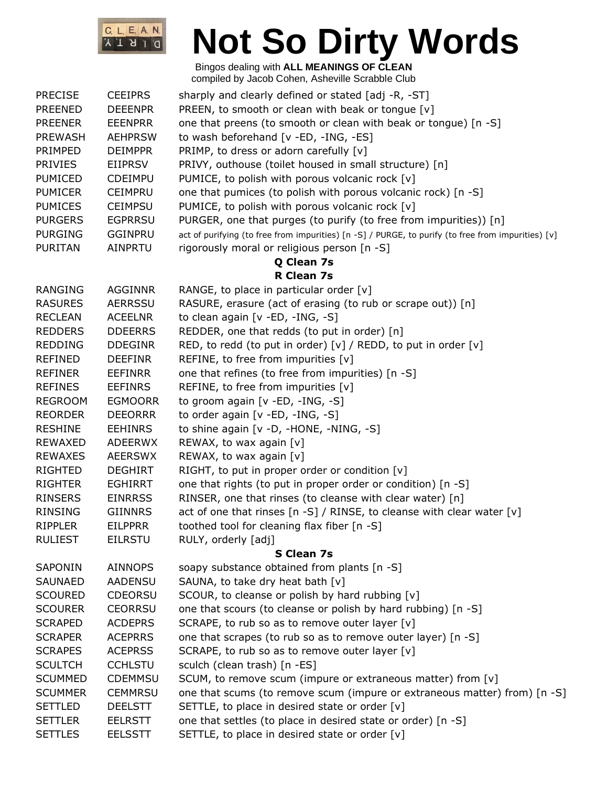

| <b>PRECISE</b> | <b>CEEIPRS</b> | sharply and clearly defined or stated [adj -R, -ST]                                                |
|----------------|----------------|----------------------------------------------------------------------------------------------------|
| <b>PREENED</b> | <b>DEEENPR</b> | PREEN, to smooth or clean with beak or tongue [v]                                                  |
| <b>PREENER</b> | <b>EEENPRR</b> | one that preens (to smooth or clean with beak or tongue) [n -S]                                    |
| <b>PREWASH</b> | <b>AEHPRSW</b> | to wash beforehand [v -ED, -ING, -ES]                                                              |
| PRIMPED        | <b>DEIMPPR</b> | PRIMP, to dress or adorn carefully [v]                                                             |
| <b>PRIVIES</b> | EIIPRSV        | PRIVY, outhouse (toilet housed in small structure) [n]                                             |
| <b>PUMICED</b> | <b>CDEIMPU</b> | PUMICE, to polish with porous volcanic rock [v]                                                    |
| <b>PUMICER</b> | <b>CEIMPRU</b> | one that pumices (to polish with porous volcanic rock) [n -S]                                      |
| <b>PUMICES</b> | <b>CEIMPSU</b> | PUMICE, to polish with porous volcanic rock [v]                                                    |
| <b>PURGERS</b> | <b>EGPRRSU</b> | PURGER, one that purges (to purify (to free from impurities)) [n]                                  |
| <b>PURGING</b> | <b>GGINPRU</b> | act of purifying (to free from impurities) [n -S] / PURGE, to purify (to free from impurities) [v] |
| <b>PURITAN</b> | <b>AINPRTU</b> | rigorously moral or religious person [n -S]                                                        |
|                |                | Q Clean 7s                                                                                         |
|                |                | R Clean 7s                                                                                         |
| <b>RANGING</b> | <b>AGGINNR</b> | RANGE, to place in particular order $[v]$                                                          |
| <b>RASURES</b> | <b>AERRSSU</b> | RASURE, erasure (act of erasing (to rub or scrape out)) [n]                                        |
| <b>RECLEAN</b> | <b>ACEELNR</b> | to clean again [v -ED, -ING, -S]                                                                   |
| <b>REDDERS</b> | <b>DDEERRS</b> | REDDER, one that redds (to put in order) [n]                                                       |
| <b>REDDING</b> | <b>DDEGINR</b> | RED, to redd (to put in order) [v] / REDD, to put in order [v]                                     |
| <b>REFINED</b> | <b>DEEFINR</b> | REFINE, to free from impurities [v]                                                                |
| <b>REFINER</b> | <b>EEFINRR</b> | one that refines (to free from impurities) [n -S]                                                  |
| <b>REFINES</b> | <b>EEFINRS</b> | REFINE, to free from impurities [v]                                                                |
| <b>REGROOM</b> | <b>EGMOORR</b> | to groom again [v -ED, -ING, -S]                                                                   |
| <b>REORDER</b> | <b>DEEORRR</b> | to order again [v -ED, -ING, -S]                                                                   |
| <b>RESHINE</b> | <b>EEHINRS</b> | to shine again [v -D, -HONE, -NING, -S]                                                            |
| REWAXED        | <b>ADEERWX</b> | REWAX, to wax again [v]                                                                            |
| <b>REWAXES</b> | <b>AEERSWX</b> | REWAX, to wax again $[v]$                                                                          |
| <b>RIGHTED</b> | <b>DEGHIRT</b> | RIGHT, to put in proper order or condition [v]                                                     |
| <b>RIGHTER</b> | <b>EGHIRRT</b> | one that rights (to put in proper order or condition) [n -S]                                       |
| <b>RINSERS</b> | <b>EINRRSS</b> | RINSER, one that rinses (to cleanse with clear water) [n]                                          |
| <b>RINSING</b> | <b>GIINNRS</b> | act of one that rinses [n -S] / RINSE, to cleanse with clear water [v]                             |
| <b>RIPPLER</b> | <b>EILPPRR</b> | toothed tool for cleaning flax fiber [n -S]                                                        |
| <b>RULIEST</b> | <b>EILRSTU</b> | RULY, orderly [adj]                                                                                |
|                |                | <b>S Clean 7s</b>                                                                                  |
| SAPONIN        | <b>AINNOPS</b> | soapy substance obtained from plants [n -S]                                                        |
| <b>SAUNAED</b> | <b>AADENSU</b> | SAUNA, to take dry heat bath [v]                                                                   |
| <b>SCOURED</b> | <b>CDEORSU</b> | SCOUR, to cleanse or polish by hard rubbing [v]                                                    |
| <b>SCOURER</b> | <b>CEORRSU</b> | one that scours (to cleanse or polish by hard rubbing) [n -S]                                      |
| <b>SCRAPED</b> | <b>ACDEPRS</b> | SCRAPE, to rub so as to remove outer layer [v]                                                     |
| <b>SCRAPER</b> | <b>ACEPRRS</b> | one that scrapes (to rub so as to remove outer layer) [n -S]                                       |
| <b>SCRAPES</b> | <b>ACEPRSS</b> | SCRAPE, to rub so as to remove outer layer [v]                                                     |
| <b>SCULTCH</b> | <b>CCHLSTU</b> | sculch (clean trash) [n -ES]                                                                       |
| <b>SCUMMED</b> | <b>CDEMMSU</b> | SCUM, to remove scum (impure or extraneous matter) from [v]                                        |
| <b>SCUMMER</b> | <b>CEMMRSU</b> | one that scums (to remove scum (impure or extraneous matter) from) [n -S]                          |
| <b>SETTLED</b> | <b>DEELSTT</b> | SETTLE, to place in desired state or order [v]                                                     |
| <b>SETTLER</b> | <b>EELRSTT</b> | one that settles (to place in desired state or order) [n -S]                                       |
| <b>SETTLES</b> | <b>EELSSTT</b> | SETTLE, to place in desired state or order [v]                                                     |
|                |                |                                                                                                    |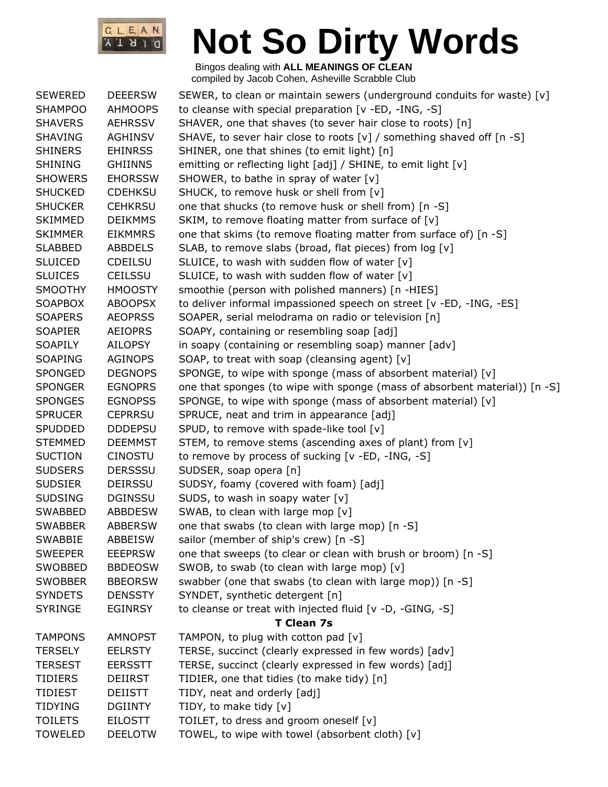

| <b>SEWERED</b> | <b>DEEERSW</b> | SEWER, to clean or maintain sewers (underground conduits for waste) $[v]$  |
|----------------|----------------|----------------------------------------------------------------------------|
| <b>SHAMPOO</b> | <b>AHMOOPS</b> | to cleanse with special preparation [v -ED, -ING, -S]                      |
| <b>SHAVERS</b> | <b>AEHRSSV</b> | SHAVER, one that shaves (to sever hair close to roots) [n]                 |
| <b>SHAVING</b> | <b>AGHINSV</b> | SHAVE, to sever hair close to roots [v] / something shaved off [n -S]      |
| <b>SHINERS</b> | <b>EHINRSS</b> | SHINER, one that shines (to emit light) [n]                                |
| <b>SHINING</b> | <b>GHIINNS</b> | emitting or reflecting light [adj] / SHINE, to emit light [v]              |
| <b>SHOWERS</b> | <b>EHORSSW</b> | SHOWER, to bathe in spray of water [v]                                     |
| <b>SHUCKED</b> | <b>CDEHKSU</b> | SHUCK, to remove husk or shell from [v]                                    |
| <b>SHUCKER</b> | <b>CEHKRSU</b> | one that shucks (to remove husk or shell from) [n -S]                      |
| <b>SKIMMED</b> | <b>DEIKMMS</b> | SKIM, to remove floating matter from surface of [v]                        |
| <b>SKIMMER</b> | <b>EIKMMRS</b> | one that skims (to remove floating matter from surface of) [n -S]          |
| <b>SLABBED</b> | <b>ABBDELS</b> | SLAB, to remove slabs (broad, flat pieces) from log [v]                    |
| <b>SLUICED</b> | <b>CDEILSU</b> | SLUICE, to wash with sudden flow of water [v]                              |
| <b>SLUICES</b> | <b>CEILSSU</b> | SLUICE, to wash with sudden flow of water [v]                              |
| <b>SMOOTHY</b> | <b>HMOOSTY</b> | smoothie (person with polished manners) [n -HIES]                          |
| <b>SOAPBOX</b> | <b>ABOOPSX</b> | to deliver informal impassioned speech on street [v -ED, -ING, -ES]        |
| <b>SOAPERS</b> | <b>AEOPRSS</b> | SOAPER, serial melodrama on radio or television [n]                        |
| <b>SOAPIER</b> | <b>AEIOPRS</b> | SOAPY, containing or resembling soap [adj]                                 |
| <b>SOAPILY</b> | AILOPSY        | in soapy (containing or resembling soap) manner [adv]                      |
| <b>SOAPING</b> | <b>AGINOPS</b> | SOAP, to treat with soap (cleansing agent) [v]                             |
| <b>SPONGED</b> | <b>DEGNOPS</b> | SPONGE, to wipe with sponge (mass of absorbent material) [v]               |
| <b>SPONGER</b> | <b>EGNOPRS</b> | one that sponges (to wipe with sponge (mass of absorbent material)) [n -S] |
| <b>SPONGES</b> | <b>EGNOPSS</b> | SPONGE, to wipe with sponge (mass of absorbent material) [v]               |
| <b>SPRUCER</b> | <b>CEPRRSU</b> | SPRUCE, neat and trim in appearance [adj]                                  |
| SPUDDED        | <b>DDDEPSU</b> | SPUD, to remove with spade-like tool [v]                                   |
| <b>STEMMED</b> | <b>DEEMMST</b> | STEM, to remove stems (ascending axes of plant) from [v]                   |
| <b>SUCTION</b> | <b>CINOSTU</b> | to remove by process of sucking [v -ED, -ING, -S]                          |
| <b>SUDSERS</b> | <b>DERSSSU</b> | SUDSER, soap opera [n]                                                     |
| <b>SUDSIER</b> | <b>DEIRSSU</b> | SUDSY, foamy (covered with foam) [adj]                                     |
| <b>SUDSING</b> | <b>DGINSSU</b> | SUDS, to wash in soapy water $[v]$                                         |
| <b>SWABBED</b> | <b>ABBDESW</b> | SWAB, to clean with large mop [v]                                          |
| <b>SWABBER</b> | <b>ABBERSW</b> | one that swabs (to clean with large mop) [n -S]                            |
| <b>SWABBIE</b> | ABBEISW        | sailor (member of ship's crew) [n -S]                                      |
| <b>SWEEPER</b> | <b>EEEPRSW</b> | one that sweeps (to clear or clean with brush or broom) [n -S]             |
| SWOBBED        | <b>BBDEOSW</b> | SWOB, to swab (to clean with large mop) [v]                                |
| <b>SWOBBER</b> | <b>BBEORSW</b> | swabber (one that swabs (to clean with large mop)) [n -S]                  |
| <b>SYNDETS</b> | <b>DENSSTY</b> | SYNDET, synthetic detergent [n]                                            |
| <b>SYRINGE</b> | <b>EGINRSY</b> | to cleanse or treat with injected fluid [v -D, -GING, -S]                  |
|                |                | <b>T Clean 7s</b>                                                          |
| <b>TAMPONS</b> | <b>AMNOPST</b> | TAMPON, to plug with cotton pad [v]                                        |
| <b>TERSELY</b> | <b>EELRSTY</b> | TERSE, succinct (clearly expressed in few words) [adv]                     |
| <b>TERSEST</b> | <b>EERSSTT</b> | TERSE, succinct (clearly expressed in few words) [adj]                     |
| <b>TIDIERS</b> | DEIIRST        | TIDIER, one that tidies (to make tidy) [n]                                 |
| <b>TIDIEST</b> | DEIISTT        | TIDY, neat and orderly [adj]                                               |
| TIDYING        | <b>DGIINTY</b> | TIDY, to make tidy [v]                                                     |
| <b>TOILETS</b> | <b>EILOSTT</b> | TOILET, to dress and groom oneself [v]                                     |
| <b>TOWELED</b> | <b>DEELOTW</b> | TOWEL, to wipe with towel (absorbent cloth) [v]                            |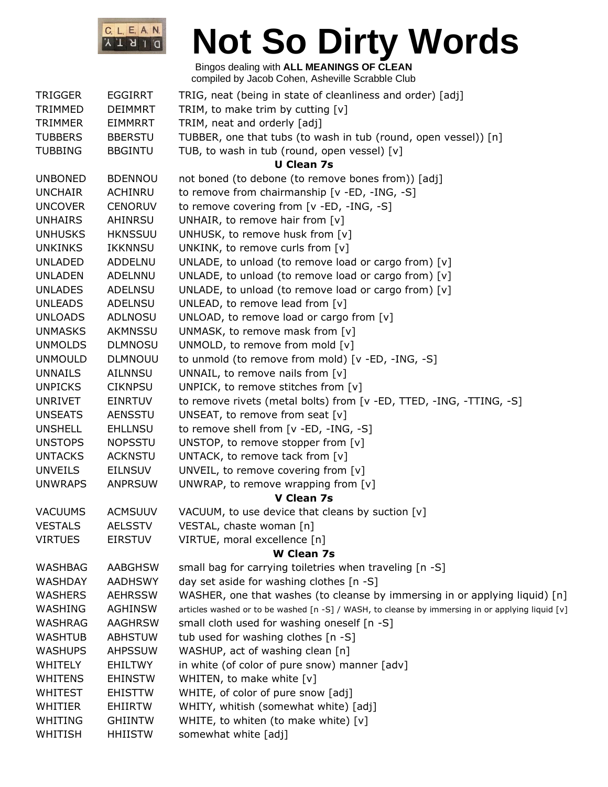

| <b>TRIGGER</b> | <b>EGGIRRT</b> | TRIG, neat (being in state of cleanliness and order) [adj]                                       |
|----------------|----------------|--------------------------------------------------------------------------------------------------|
| TRIMMED        | <b>DEIMMRT</b> | TRIM, to make trim by cutting $[v]$                                                              |
| <b>TRIMMER</b> | <b>EIMMRRT</b> | TRIM, neat and orderly [adj]                                                                     |
| <b>TUBBERS</b> | <b>BBERSTU</b> | TUBBER, one that tubs (to wash in tub (round, open vessel)) [n]                                  |
| <b>TUBBING</b> | <b>BBGINTU</b> | TUB, to wash in tub (round, open vessel) [v]                                                     |
|                |                | <b>U Clean 7s</b>                                                                                |
| <b>UNBONED</b> | <b>BDENNOU</b> | not boned (to debone (to remove bones from)) [adj]                                               |
| <b>UNCHAIR</b> | <b>ACHINRU</b> | to remove from chairmanship [v -ED, -ING, -S]                                                    |
| <b>UNCOVER</b> | <b>CENORUV</b> | to remove covering from [v -ED, -ING, -S]                                                        |
| <b>UNHAIRS</b> | AHINRSU        | UNHAIR, to remove hair from $[v]$                                                                |
| <b>UNHUSKS</b> | <b>HKNSSUU</b> | UNHUSK, to remove husk from [v]                                                                  |
| <b>UNKINKS</b> | <b>IKKNNSU</b> | UNKINK, to remove curls from [v]                                                                 |
| <b>UNLADED</b> | ADDELNU        | UNLADE, to unload (to remove load or cargo from) [v]                                             |
| <b>UNLADEN</b> | ADELNNU        | UNLADE, to unload (to remove load or cargo from) [v]                                             |
| <b>UNLADES</b> | <b>ADELNSU</b> | UNLADE, to unload (to remove load or cargo from) [v]                                             |
| <b>UNLEADS</b> | ADELNSU        | UNLEAD, to remove lead from $[v]$                                                                |
| <b>UNLOADS</b> | ADLNOSU        | UNLOAD, to remove load or cargo from [v]                                                         |
| <b>UNMASKS</b> | AKMNSSU        | UNMASK, to remove mask from [v]                                                                  |
| <b>UNMOLDS</b> | <b>DLMNOSU</b> | UNMOLD, to remove from mold [v]                                                                  |
| <b>UNMOULD</b> | <b>DLMNOUU</b> | to unmold (to remove from mold) [v -ED, -ING, -S]                                                |
| <b>UNNAILS</b> | <b>AILNNSU</b> | UNNAIL, to remove nails from $[v]$                                                               |
| <b>UNPICKS</b> | <b>CIKNPSU</b> | UNPICK, to remove stitches from [v]                                                              |
| <b>UNRIVET</b> | <b>EINRTUV</b> | to remove rivets (metal bolts) from [v -ED, TTED, -ING, -TTING, -S]                              |
| <b>UNSEATS</b> | <b>AENSSTU</b> | UNSEAT, to remove from seat [v]                                                                  |
| <b>UNSHELL</b> | <b>EHLLNSU</b> | to remove shell from [v -ED, -ING, -S]                                                           |
| <b>UNSTOPS</b> | <b>NOPSSTU</b> | UNSTOP, to remove stopper from [v]                                                               |
| <b>UNTACKS</b> | <b>ACKNSTU</b> | UNTACK, to remove tack from [v]                                                                  |
| <b>UNVEILS</b> | <b>EILNSUV</b> | UNVEIL, to remove covering from [v]                                                              |
| <b>UNWRAPS</b> | <b>ANPRSUW</b> | UNWRAP, to remove wrapping from $[v]$                                                            |
|                |                | V Clean 7s                                                                                       |
| <b>VACUUMS</b> | <b>ACMSUUV</b> | VACUUM, to use device that cleans by suction [v]                                                 |
| <b>VESTALS</b> | <b>AELSSTV</b> | VESTAL, chaste woman [n]                                                                         |
| <b>VIRTUES</b> | <b>EIRSTUV</b> | VIRTUE, moral excellence [n]                                                                     |
|                |                | <b>W</b> Clean 7s                                                                                |
| WASHBAG        | <b>AABGHSW</b> | small bag for carrying toiletries when traveling [n -S]                                          |
| <b>WASHDAY</b> | <b>AADHSWY</b> | day set aside for washing clothes [n -S]                                                         |
| <b>WASHERS</b> | <b>AEHRSSW</b> | WASHER, one that washes (to cleanse by immersing in or applying liquid) [n]                      |
| WASHING        | <b>AGHINSW</b> | articles washed or to be washed [n -S] / WASH, to cleanse by immersing in or applying liquid [v] |
| WASHRAG        | <b>AAGHRSW</b> | small cloth used for washing oneself [n -S]                                                      |
| <b>WASHTUB</b> | <b>ABHSTUW</b> | tub used for washing clothes [n -S]                                                              |
| <b>WASHUPS</b> | <b>AHPSSUW</b> | WASHUP, act of washing clean [n]                                                                 |
| <b>WHITELY</b> | EHILTWY        | in white (of color of pure snow) manner [adv]                                                    |
| <b>WHITENS</b> | <b>EHINSTW</b> | WHITEN, to make white [v]                                                                        |
| <b>WHITEST</b> | <b>EHISTTW</b> | WHITE, of color of pure snow [adj]                                                               |
| WHITIER        | <b>EHIIRTW</b> | WHITY, whitish (somewhat white) [adj]                                                            |
| WHITING        | <b>GHIINTW</b> | WHITE, to whiten (to make white) [v]                                                             |
| WHITISH        | <b>HHIISTW</b> | somewhat white [adj]                                                                             |